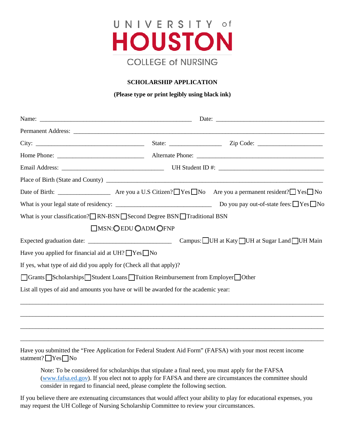

# **SCHOLARSHIP APPLICATION**

## **(Please type or print legibly using black ink)**

| What is your classification? RN-BSN Second Degree BSN Traditional BSN                 |                             |                                             |  |
|---------------------------------------------------------------------------------------|-----------------------------|---------------------------------------------|--|
|                                                                                       | <b>OMSN: OEDU OADM OFNP</b> |                                             |  |
|                                                                                       |                             | Campus: UH at Katy UH at Sugar Land UH Main |  |
| Have you applied for financial aid at UH? □ Yes □ No                                  |                             |                                             |  |
| If yes, what type of aid did you apply for (Check all that apply)?                    |                             |                                             |  |
| □ Grants □ Scholarships □ Student Loans □ Tuition Reimbursement from Employer □ Other |                             |                                             |  |
| List all types of aid and amounts you have or will be awarded for the academic year:  |                             |                                             |  |
|                                                                                       |                             |                                             |  |
|                                                                                       |                             |                                             |  |
|                                                                                       |                             |                                             |  |
|                                                                                       |                             |                                             |  |

Have you submitted the "Free Application for Federal Student Aid Form" (FAFSA) with your most recent income statment?  $Yes$  No

Note: To be considered for scholarships that stipulate a final need, you must apply for the FAFSA [\(www.fafsa.ed.gov\)](http://www.fafsa.ed.gov/). If you elect not to apply for FAFSA and there are circumstances the committee should consider in regard to financial need, please complete the following section.

If you believe there are extenuating circumstances that would affect your ability to play for educational expenses, you may request the UH College of Nursing Scholarship Committee to review your circumstances.